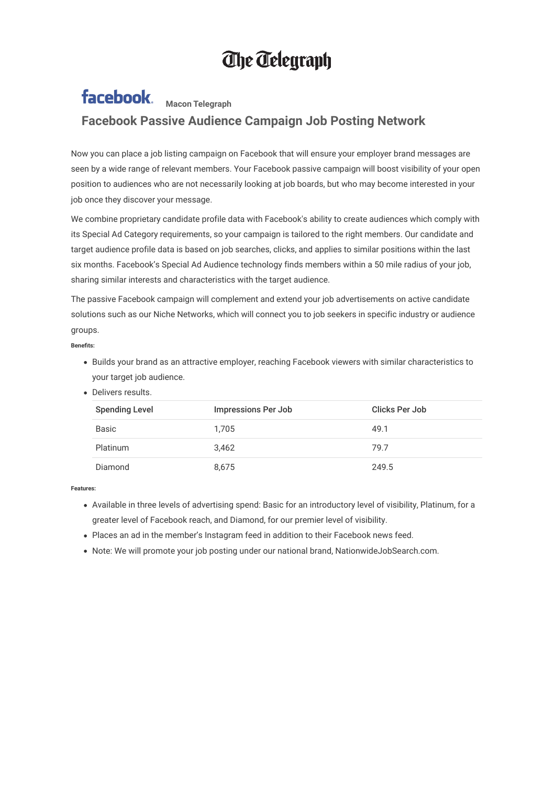## **The Telegraph**

## facebook. **Macon Telegraph Facebook Passive Audience Campaign Job Posting Network**

Now you can place a job listing campaign on Facebook that will ensure your employer brand messages are seen by a wide range of relevant members. Your Facebook passive campaign will boost visibility of your open position to audiences who are not necessarily looking at job boards, but who may become interested in your job once they discover your message.

We combine proprietary candidate profile data with Facebook's ability to create audiences which comply with its Special Ad Category requirements, so your campaign is tailored to the right members. Our candidate and target audience profile data is based on job searches, clicks, and applies to similar positions within the last six months. Facebook's Special Ad Audience technology finds members within a 50 mile radius of your job, sharing similar interests and characteristics with the target audience.

The passive Facebook campaign will complement and extend your job advertisements on active candidate solutions such as our Niche Networks, which will connect you to job seekers in specific industry or audience groups.

**Benets:**

- Builds your brand as an attractive employer, reaching Facebook viewers with similar characteristics to your target job audience.
- Delivers results.

| <b>Spending Level</b> | <b>Impressions Per Job</b> | Clicks Per Job |
|-----------------------|----------------------------|----------------|
| <b>Basic</b>          | 1,705                      | 49.1           |
| <b>Platinum</b>       | 3.462                      | 79.7           |
| Diamond               | 8,675                      | 249.5          |

**Features:**

- Available in three levels of advertising spend: Basic for an introductory level of visibility, Platinum, for a greater level of Facebook reach, and Diamond, for our premier level of visibility.
- Places an ad in the member's Instagram feed in addition to their Facebook news feed.
- Note: We will promote your job posting under our national brand, NationwideJobSearch.com.